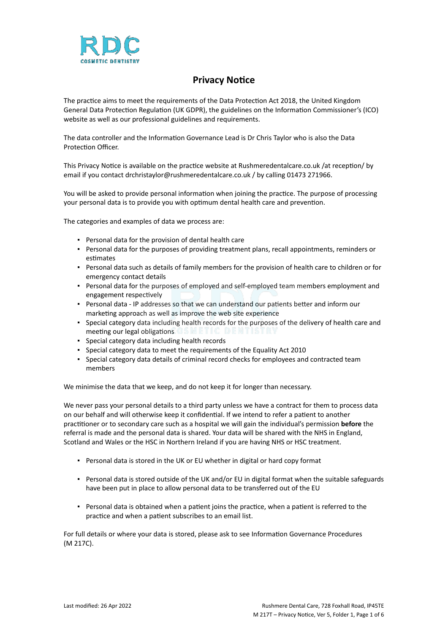

# **Privacy Notice**

The practice aims to meet the requirements of the Data Protection Act 2018, the United Kingdom General Data Protection Regulation (UK GDPR), the guidelines on the Information Commissioner's (ICO) website as well as our professional guidelines and requirements.

The data controller and the Information Governance Lead is Dr Chris Taylor who is also the Data Protection Officer.

This Privacy Notice is available on the practice website at Rushmeredentalcare.co.uk /at reception/ by email if you contact drchristaylor@rushmeredentalcare.co.uk / by calling 01473 271966.

You will be asked to provide personal information when joining the practice. The purpose of processing your personal data is to provide you with optimum dental health care and prevention.

The categories and examples of data we process are:

- Personal data for the provision of dental health care
- Personal data for the purposes of providing treatment plans, recall appointments, reminders or estimates
- Personal data such as details of family members for the provision of health care to children or for emergency contact details
- Personal data for the purposes of employed and self-employed team members employment and engagement respectively
- Personal data IP addresses so that we can understand our patients better and inform our marketing approach as well as improve the web site experience
- Special category data including health records for the purposes of the delivery of health care and meeting our legal obligations
- Special category data including health records
- Special category data to meet the requirements of the Equality Act 2010
- Special category data details of criminal record checks for employees and contracted team members

We minimise the data that we keep, and do not keep it for longer than necessary.

We never pass your personal details to a third party unless we have a contract for them to process data on our behalf and will otherwise keep it confidential. If we intend to refer a patient to another practitioner or to secondary care such as a hospital we will gain the individual's permission **before** the referral is made and the personal data is shared. Your data will be shared with the NHS in England, Scotland and Wales or the HSC in Northern Ireland if you are having NHS or HSC treatment.

- Personal data is stored in the UK or EU whether in digital or hard copy format
- Personal data is stored outside of the UK and/or EU in digital format when the suitable safeguards have been put in place to allow personal data to be transferred out of the EU
- Personal data is obtained when a patient joins the practice, when a patient is referred to the practice and when a patient subscribes to an email list.

For full details or where your data is stored, please ask to see Information Governance Procedures (M 217C).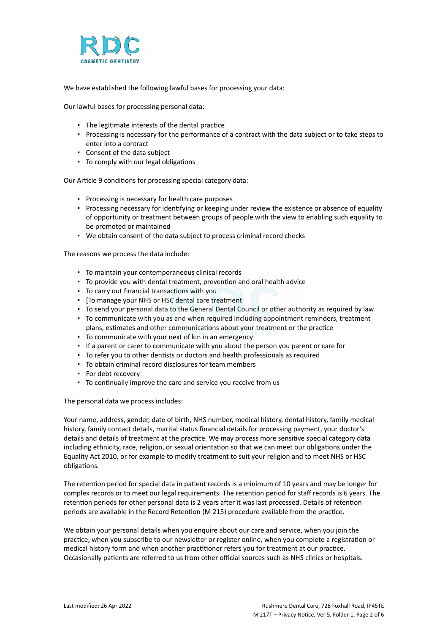

We have established the following lawful bases for processing your data:

Our lawful bases for processing personal data:

- The legitimate interests of the dental practice
- Processing is necessary for the performance of a contract with the data subject or to take steps to enter into a contract
- Consent of the data subject
- To comply with our legal obligations

Our Article 9 conditions for processing special category data:

- Processing is necessary for health care purposes
- Processing necessary for identifying or keeping under review the existence or absence of equality of opportunity or treatment between groups of people with the view to enabling such equality to be promoted or maintained
- We obtain consent of the data subject to process criminal record checks

The reasons we process the data include:

- To maintain your contemporaneous clinical records
- To provide you with dental treatment, prevention and oral health advice
- To carry out financial transactions with you
- [To manage your NHS or HSC dental care treatment
- To send your personal data to the General Dental Council or other authority as required by law
- To communicate with you as and when required including appointment reminders, treatment plans, estimates and other communications about your treatment or the practice
- To communicate with your next of kin in an emergency
- If a parent or carer to communicate with you about the person you parent or care for
- To refer you to other dentists or doctors and health professionals as required
- To obtain criminal record disclosures for team members
- For debt recovery
- To continually improve the care and service you receive from us

The personal data we process includes:

Your name, address, gender, date of birth, NHS number, medical history, dental history, family medical history, family contact details, marital status financial details for processing payment, your doctor's details and details of treatment at the practice. We may process more sensitive special category data including ethnicity, race, religion, or sexual orientation so that we can meet our obligations under the Equality Act 2010, or for example to modify treatment to suit your religion and to meet NHS or HSC obligations.

The retention period for special data in patient records is a minimum of 10 years and may be longer for complex records or to meet our legal requirements. The retention period for staff records is 6 years. The retention periods for other personal data is 2 years after it was last processed. Details of retention periods are available in the Record Retention (M 215) procedure available from the practice.

We obtain your personal details when you enquire about our care and service, when you join the practice, when you subscribe to our newsletter or register online, when you complete a registration or medical history form and when another practitioner refers you for treatment at our practice. Occasionally patients are referred to us from other official sources such as NHS clinics or hospitals.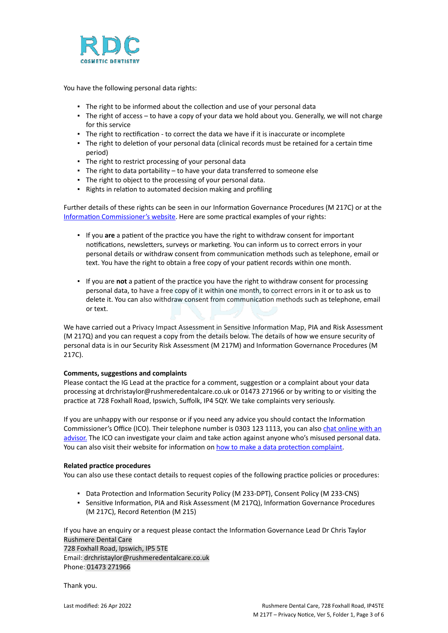

You have the following personal data rights:

- **.** The right to be informed about the collection and use of your personal data
- The right of access to have a copy of your data we hold about you. Generally, we will not charge for this service
- The right to rectification to correct the data we have if it is inaccurate or incomplete
- The right to deletion of your personal data (clinical records must be retained for a certain time period)
- The right to restrict processing of your personal data
- The right to data portability to have your data transferred to someone else
- The right to object to the processing of your personal data.
- Rights in relation to automated decision making and profiling

Further details of these rights can be seen in our Information Governance Procedures (M 217C) or at the [Information Commissioner's website](https://ico.org.uk/for-organisations/guide-to-the-general-data-protection-regulation-gdpr/individual-rights/). Here are some practical examples of your rights:

- If you **are** a patient of the practice you have the right to withdraw consent for important notifications, newsletters, surveys or marketing. You can inform us to correct errors in your personal details or withdraw consent from communication methods such as telephone, email or text. You have the right to obtain a free copy of your patient records within one month.
- If you are **not** a patient of the practice you have the right to withdraw consent for processing personal data, to have a free copy of it within one month, to correct errors in it or to ask us to delete it. You can also withdraw consent from communication methods such as telephone, email or text.

We have carried out a Privacy Impact Assessment in Sensitive Information Map, PIA and Risk Assessment (M 217Q) and you can request a copy from the details below. The details of how we ensure security of personal data is in our Security Risk Assessment (M 217M) and Information Governance Procedures (M 217C).

## **Comments, suggestions and complaints**

Please contact the IG Lead at the practice for a comment, suggestion or a complaint about your data processing at drchristaylor@rushmeredentalcare.co.uk or 01473 271966 or by writing to or visiting the practice at 728 Foxhall Road, Ipswich, Suffolk, IP4 5QY. We take complaints very seriously.

If you are unhappy with our response or if you need any advice you should contact the Information Commissioner's Office (ICO). Their telephone number is 0303 123 1113, you can also [chat online with an](https://ico.org.uk/global/contact-us/live-chat/) [advisor.](https://ico.org.uk/global/contact-us/live-chat/) The ICO can investigate your claim and take action against anyone who's misused personal data. You can also visit their website for information on [how to make a data protection complaint](http://www.ico.org.uk/complaints).

## **Related practice procedures**

You can also use these contact details to request copies of the following practice policies or procedures:

- Data Protection and Information Security Policy (M 233-DPT), Consent Policy (M 233-CNS)
- Sensitive Information, PIA and Risk Assessment (M 217Q), Information Governance Procedures (M 217C), Record Retention (M 215)

If you have an enquiry or a request please contact the Information Governance Lead Dr Chris Taylor Rushmere Dental Care

728 Foxhall Road, Ipswich, IP5 5TE Email: drchristaylor@rushmeredentalcare.co.uk Phone: 01473 271966

Thank you.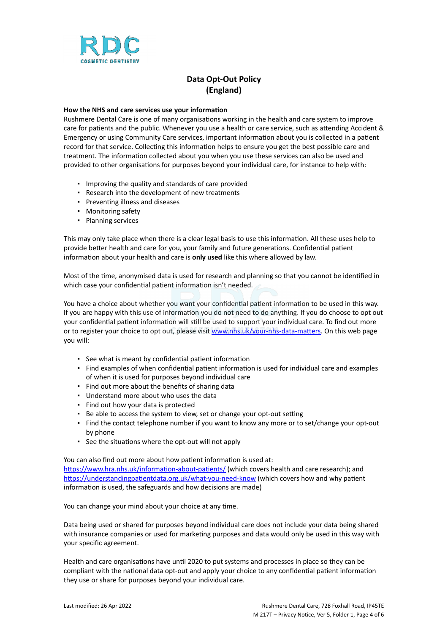

# **Data Opt-Out Policy (England)**

### **How the NHS and care services use your information**

Rushmere Dental Care is one of many organisations working in the health and care system to improve care for patients and the public. Whenever you use a health or care service, such as attending Accident & Emergency or using Community Care services, important information about you is collected in a patient record for that service. Collecting this information helps to ensure you get the best possible care and treatment. The information collected about you when you use these services can also be used and provided to other organisations for purposes beyond your individual care, for instance to help with:

- Improving the quality and standards of care provided
- Research into the development of new treatments
- Preventing illness and diseases
- Monitoring safety
- Planning services

This may only take place when there is a clear legal basis to use this information. All these uses help to provide better health and care for you, your family and future generations. Confidential patient information about your health and care is **only used** like this where allowed by law.

Most of the time, anonymised data is used for research and planning so that you cannot be identified in which case your confidential patient information isn't needed.

You have a choice about whether you want your confidential patient information to be used in this way. If you are happy with this use of information you do not need to do anything. If you do choose to opt out your confidential patient information will still be used to support your individual care. To find out more or to register your choice to opt out, please visit [www.nhs.uk/your-nhs-data-matters](http://www.nhs.uk/your-nhs-data-matters). On this web page you will:

- See what is meant by confidential patient information
- Find examples of when confidential patient information is used for individual care and examples of when it is used for purposes beyond individual care
- Find out more about the benefits of sharing data
- Understand more about who uses the data
- Find out how your data is protected
- Be able to access the system to view, set or change your opt-out setting
- Find the contact telephone number if you want to know any more or to set/change your opt-out by phone
- See the situations where the opt-out will not apply

You can also find out more about how patient information is used at:

[https://www.hra.nhs.uk/information-about-patients/](https://www.hra.nhs.uk/information-about-patients/%20) (which covers health and care research); and <https://understandingpatientdata.org.uk/what-you-need-know> (which covers how and why patient information is used, the safeguards and how decisions are made)

You can change your mind about your choice at any time.

Data being used or shared for purposes beyond individual care does not include your data being shared with insurance companies or used for marketing purposes and data would only be used in this way with your specific agreement.

Health and care organisations have until 2020 to put systems and processes in place so they can be compliant with the national data opt-out and apply your choice to any confidential patient information they use or share for purposes beyond your individual care.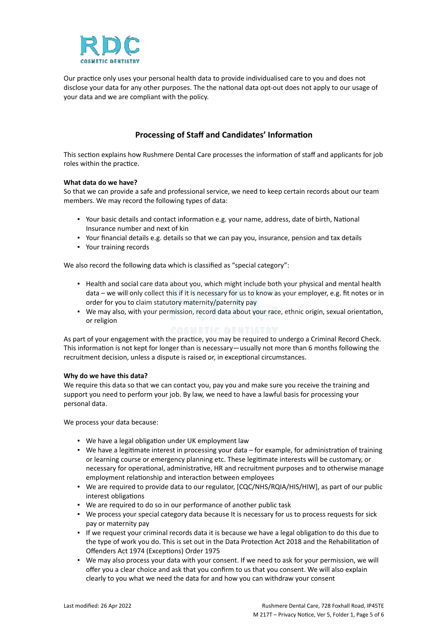

Our practice only uses your personal health data to provide individualised care to you and does not disclose your data for any other purposes. The the national data opt-out does not apply to our usage of your data and we are compliant with the policy.

# **Processing of Staff and Candidates' Information**

This section explains how Rushmere Dental Care processes the information of staff and applicants for job roles within the practice.

## **What data do we have?**

So that we can provide a safe and professional service, we need to keep certain records about our team members. We may record the following types of data:

- Your basic details and contact information e.g. your name, address, date of birth, National Insurance number and next of kin
- Your financial details e.g. details so that we can pay you, insurance, pension and tax details
- Your training records

We also record the following data which is classified as "special category":

- Health and social care data about you, which might include both your physical and mental health data – we will only collect this if it is necessary for us to know as your employer, e.g. fit notes or in order for you to claim statutory maternity/paternity pay
- We may also, with your permission, record data about your race, ethnic origin, sexual orientation, or religion

As part of your engagement with the practice, you may be required to undergo a Criminal Record Check. This information is not kept for longer than is necessary—usually not more than 6 months following the recruitment decision, unless a dispute is raised or, in exceptional circumstances.

## **Why do we have this data?**

We require this data so that we can contact you, pay you and make sure you receive the training and support you need to perform your job. By law, we need to have a lawful basis for processing your personal data.

We process your data because:

- We have a legal obligation under UK employment law
- We have a legitimate interest in processing your data for example, for administration of training or learning course or emergency planning etc. These legitimate interests will be customary, or necessary for operational, administrative, HR and recruitment purposes and to otherwise manage employment relationship and interaction between employees
- . We are required to provide data to our regulator, [CQC/NHS/RQIA/HIS/HIW], as part of our public interest obligations
- We are required to do so in our performance of another public task
- We process your special category data because It is necessary for us to process requests for sick pay or maternity pay
- If we request your criminal records data it is because we have a legal obligation to do this due to the type of work you do. This is set out in the Data Protection Act 2018 and the Rehabilitation of Offenders Act 1974 (Exceptions) Order 1975
- We may also process your data with your consent. If we need to ask for your permission, we will offer you a clear choice and ask that you confirm to us that you consent. We will also explain clearly to you what we need the data for and how you can withdraw your consent